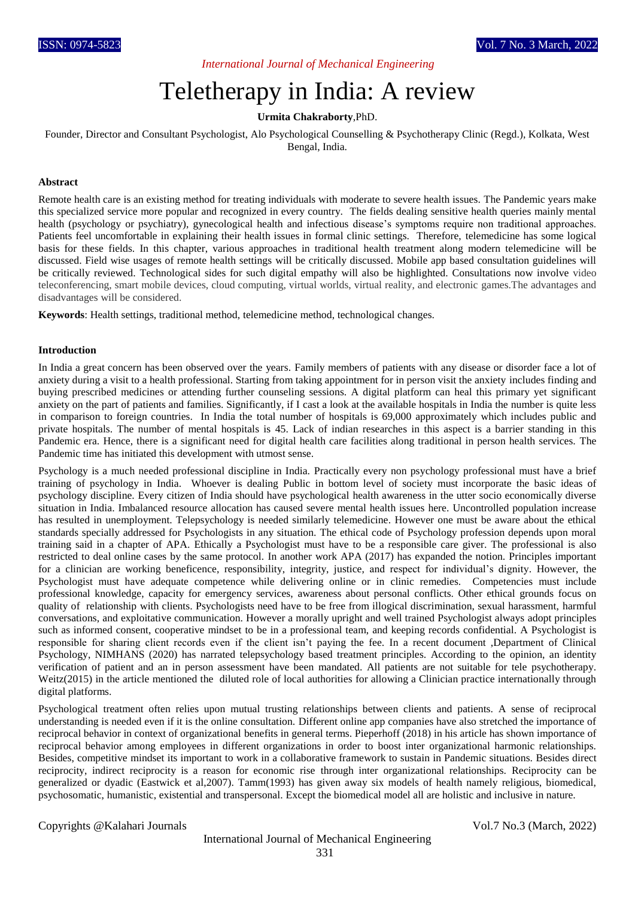*International Journal of Mechanical Engineering*

# Teletherapy in India: A review

## **Urmita Chakraborty**,PhD.

Founder, Director and Consultant Psychologist, Alo Psychological Counselling & Psychotherapy Clinic (Regd.), Kolkata, West Bengal, India.

#### **Abstract**

Remote health care is an existing method for treating individuals with moderate to severe health issues. The Pandemic years make this specialized service more popular and recognized in every country. The fields dealing sensitive health queries mainly mental health (psychology or psychiatry), gynecological health and infectious disease's symptoms require non traditional approaches. Patients feel uncomfortable in explaining their health issues in formal clinic settings. Therefore, telemedicine has some logical basis for these fields. In this chapter, various approaches in traditional health treatment along modern telemedicine will be discussed. Field wise usages of remote health settings will be critically discussed. Mobile app based consultation guidelines will be critically reviewed. Technological sides for such digital empathy will also be highlighted. Consultations now involve video teleconferencing, smart mobile devices, cloud computing, virtual worlds, virtual reality, and electronic games.The advantages and disadvantages will be considered.

**Keywords**: Health settings, traditional method, telemedicine method, technological changes.

#### **Introduction**

In India a great concern has been observed over the years. Family members of patients with any disease or disorder face a lot of anxiety during a visit to a health professional. Starting from taking appointment for in person visit the anxiety includes finding and buying prescribed medicines or attending further counseling sessions. A digital platform can heal this primary yet significant anxiety on the part of patients and families. Significantly, if I cast a look at the available hospitals in India the number is quite less in comparison to foreign countries. In India the total number of hospitals is 69,000 approximately which includes public and private hospitals. The number of mental hospitals is 45. Lack of indian researches in this aspect is a barrier standing in this Pandemic era. Hence, there is a significant need for digital health care facilities along traditional in person health services. The Pandemic time has initiated this development with utmost sense.

Psychology is a much needed professional discipline in India. Practically every non psychology professional must have a brief training of psychology in India. Whoever is dealing Public in bottom level of society must incorporate the basic ideas of psychology discipline. Every citizen of India should have psychological health awareness in the utter socio economically diverse situation in India. Imbalanced resource allocation has caused severe mental health issues here. Uncontrolled population increase has resulted in unemployment. Telepsychology is needed similarly telemedicine. However one must be aware about the ethical standards specially addressed for Psychologists in any situation. The ethical code of Psychology profession depends upon moral training said in a chapter of APA. Ethically a Psychologist must have to be a responsible care giver. The professional is also restricted to deal online cases by the same protocol. In another work APA (2017) has expanded the notion. Principles important for a clinician are working beneficence, responsibility, integrity, justice, and respect for individual's dignity. However, the Psychologist must have adequate competence while delivering online or in clinic remedies. Competencies must include professional knowledge, capacity for emergency services, awareness about personal conflicts. Other ethical grounds focus on quality of relationship with clients. Psychologists need have to be free from illogical discrimination, sexual harassment, harmful conversations, and exploitative communication. However a morally upright and well trained Psychologist always adopt principles such as informed consent, cooperative mindset to be in a professional team, and keeping records confidential. A Psychologist is responsible for sharing client records even if the client isn't paying the fee. In a recent document ,Department of Clinical Psychology, NIMHANS (2020) has narrated telepsychology based treatment principles. According to the opinion, an identity verification of patient and an in person assessment have been mandated. All patients are not suitable for tele psychotherapy. Weitz(2015) in the article mentioned the diluted role of local authorities for allowing a Clinician practice internationally through digital platforms.

Psychological treatment often relies upon mutual trusting relationships between clients and patients. A sense of reciprocal understanding is needed even if it is the online consultation. Different online app companies have also stretched the importance of reciprocal behavior in context of organizational benefits in general terms. Pieperhoff (2018) in his article has shown importance of reciprocal behavior among employees in different organizations in order to boost inter organizational harmonic relationships. Besides, competitive mindset its important to work in a collaborative framework to sustain in Pandemic situations. Besides direct reciprocity, indirect reciprocity is a reason for economic rise through inter organizational relationships. Reciprocity can be generalized or dyadic (Eastwick et al,2007). Tamm(1993) has given away six models of health namely religious, biomedical, psychosomatic, humanistic, existential and transpersonal. Except the biomedical model all are holistic and inclusive in nature.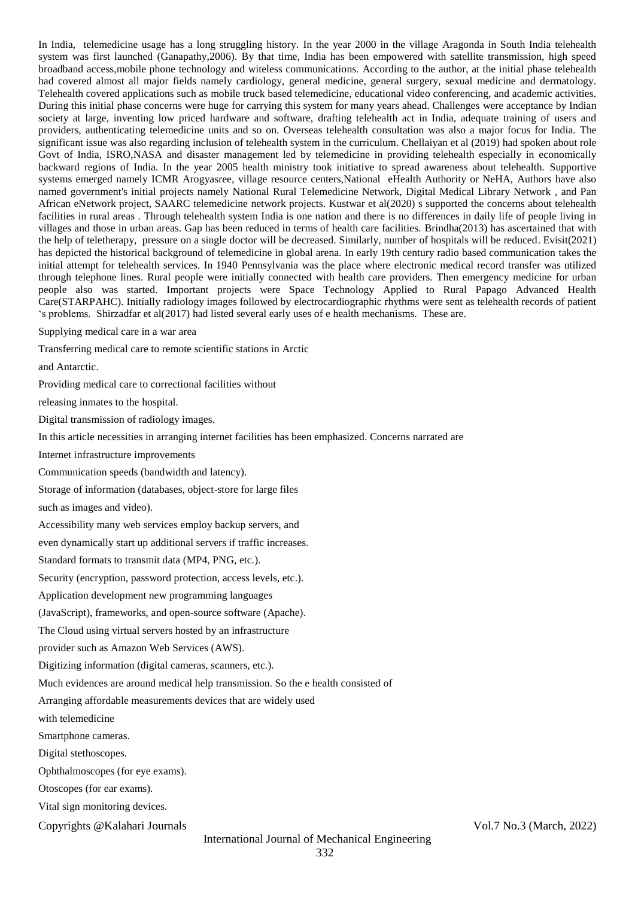In India, telemedicine usage has a long struggling history. In the year 2000 in the village Aragonda in South India telehealth system was first launched (Ganapathy,2006). By that time, India has been empowered with satellite transmission, high speed broadband access,mobile phone technology and witeless communications. According to the author, at the initial phase telehealth had covered almost all major fields namely cardiology, general medicine, general surgery, sexual medicine and dermatology. Telehealth covered applications such as mobile truck based telemedicine, educational video conferencing, and academic activities. During this initial phase concerns were huge for carrying this system for many years ahead. Challenges were acceptance by Indian society at large, inventing low priced hardware and software, drafting telehealth act in India, adequate training of users and providers, authenticating telemedicine units and so on. Overseas telehealth consultation was also a major focus for India. The significant issue was also regarding inclusion of telehealth system in the curriculum. Chellaiyan et al (2019) had spoken about role Govt of India, ISRO,NASA and disaster management led by telemedicine in providing telehealth especially in economically backward regions of India. In the year 2005 health ministry took initiative to spread awareness about telehealth. Supportive systems emerged namely ICMR Arogyasree, village resource centers,National eHealth Authority or NeHA, Authors have also named government's initial projects namely National Rural Telemedicine Network, Digital Medical Library Network , and Pan African eNetwork project, SAARC telemedicine network projects. Kustwar et al(2020) s supported the concerns about telehealth facilities in rural areas . Through telehealth system India is one nation and there is no differences in daily life of people living in villages and those in urban areas. Gap has been reduced in terms of health care facilities. Brindha(2013) has ascertained that with the help of teletherapy, pressure on a single doctor will be decreased. Similarly, number of hospitals will be reduced. Evisit(2021) has depicted the historical background of telemedicine in global arena. In early 19th century radio based communication takes the initial attempt for telehealth services. In 1940 Pennsylvania was the place where electronic medical record transfer was utilized through telephone lines. Rural people were initially connected with health care providers. Then emergency medicine for urban people also was started. Important projects were Space Technology Applied to Rural Papago Advanced Health Care(STARPAHC). Initially radiology images followed by electrocardiographic rhythms were sent as telehealth records of patient 's problems. Shirzadfar et al(2017) had listed several early uses of e health mechanisms. These are.

Supplying medical care in a war area

Transferring medical care to remote scientific stations in Arctic

and Antarctic.

Providing medical care to correctional facilities without

releasing inmates to the hospital.

Digital transmission of radiology images.

In this article necessities in arranging internet facilities has been emphasized. Concerns narrated are

Internet infrastructure improvements

Communication speeds (bandwidth and latency).

Storage of information (databases, object-store for large files

such as images and video).

Accessibility many web services employ backup servers, and

even dynamically start up additional servers if traffic increases.

Standard formats to transmit data (MP4, PNG, etc.).

Security (encryption, password protection, access levels, etc.).

Application development new programming languages

(JavaScript), frameworks, and open-source software (Apache).

The Cloud using virtual servers hosted by an infrastructure

provider such as Amazon Web Services (AWS).

Digitizing information (digital cameras, scanners, etc.).

Much evidences are around medical help transmission. So the e health consisted of

Arranging affordable measurements devices that are widely used

with telemedicine

Smartphone cameras.

Digital stethoscopes.

Ophthalmoscopes (for eye exams).

Otoscopes (for ear exams).

Vital sign monitoring devices.

Copyrights @Kalahari Journals Vol.7 No.3 (March, 2022)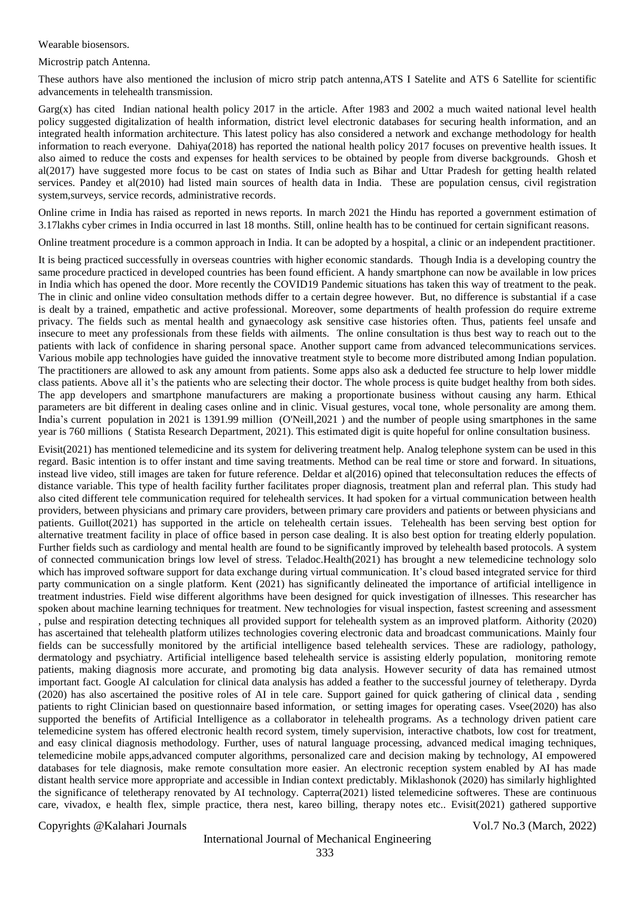Wearable biosensors.

Microstrip patch Antenna.

These authors have also mentioned the inclusion of micro strip patch antenna,ATS I Satelite and ATS 6 Satellite for scientific advancements in telehealth transmission.

Garg $(x)$  has cited Indian national health policy 2017 in the article. After 1983 and 2002 a much waited national level health policy suggested digitalization of health information, district level electronic databases for securing health information, and an integrated health information architecture. This latest policy has also considered a network and exchange methodology for health information to reach everyone. Dahiya(2018) has reported the national health policy 2017 focuses on preventive health issues. It also aimed to reduce the costs and expenses for health services to be obtained by people from diverse backgrounds. Ghosh et al(2017) have suggested more focus to be cast on states of India such as Bihar and Uttar Pradesh for getting health related services. Pandey et al(2010) had listed main sources of health data in India. These are population census, civil registration system,surveys, service records, administrative records.

Online crime in India has raised as reported in news reports. In march 2021 the Hindu has reported a government estimation of 3.17lakhs cyber crimes in India occurred in last 18 months. Still, online health has to be continued for certain significant reasons.

Online treatment procedure is a common approach in India. It can be adopted by a hospital, a clinic or an independent practitioner.

It is being practiced successfully in overseas countries with higher economic standards. Though India is a developing country the same procedure practiced in developed countries has been found efficient. A handy smartphone can now be available in low prices in India which has opened the door. More recently the COVID19 Pandemic situations has taken this way of treatment to the peak. The in clinic and online video consultation methods differ to a certain degree however. But, no difference is substantial if a case is dealt by a trained, empathetic and active professional. Moreover, some departments of health profession do require extreme privacy. The fields such as mental health and gynaecology ask sensitive case histories often. Thus, patients feel unsafe and insecure to meet any professionals from these fields with ailments. The online consultation is thus best way to reach out to the patients with lack of confidence in sharing personal space. Another support came from advanced telecommunications services. Various mobile app technologies have guided the innovative treatment style to become more distributed among Indian population. The practitioners are allowed to ask any amount from patients. Some apps also ask a deducted fee structure to help lower middle class patients. Above all it's the patients who are selecting their doctor. The whole process is quite budget healthy from both sides. The app developers and smartphone manufacturers are making a proportionate business without causing any harm. Ethical parameters are bit different in dealing cases online and in clinic. Visual gestures, vocal tone, whole personality are among them. India's current population in 2021 is 1391.99 million (O'Neill,2021 ) and the number of people using smartphones in the same year is 760 millions ( Statista Research Department, 2021). This estimated digit is quite hopeful for online consultation business.

Evisit(2021) has mentioned telemedicine and its system for delivering treatment help. Analog telephone system can be used in this regard. Basic intention is to offer instant and time saving treatments. Method can be real time or store and forward. In situations, instead live video, still images are taken for future reference. Deldar et al(2016) opined that teleconsultation reduces the effects of distance variable. This type of health facility further facilitates proper diagnosis, treatment plan and referral plan. This study had also cited different tele communication required for telehealth services. It had spoken for a virtual communication between health providers, between physicians and primary care providers, between primary care providers and patients or between physicians and patients. Guillot(2021) has supported in the article on telehealth certain issues. Telehealth has been serving best option for alternative treatment facility in place of office based in person case dealing. It is also best option for treating elderly population. Further fields such as cardiology and mental health are found to be significantly improved by telehealth based protocols. A system of connected communication brings low level of stress. Teladoc.Health(2021) has brought a new telemedicine technology solo which has improved software support for data exchange during virtual communication. It's cloud based integrated service for third party communication on a single platform. Kent (2021) has significantly delineated the importance of artificial intelligence in treatment industries. Field wise different algorithms have been designed for quick investigation of illnesses. This researcher has spoken about machine learning techniques for treatment. New technologies for visual inspection, fastest screening and assessment , pulse and respiration detecting techniques all provided support for telehealth system as an improved platform. Aithority (2020) has ascertained that telehealth platform utilizes technologies covering electronic data and broadcast communications. Mainly four fields can be successfully monitored by the artificial intelligence based telehealth services. These are radiology, pathology, dermatology and psychiatry. Artificial intelligence based telehealth service is assisting elderly population, monitoring remote patients, making diagnosis more accurate, and promoting big data analysis. However security of data has remained utmost important fact. Google AI calculation for clinical data analysis has added a feather to the successful journey of teletherapy. Dyrda (2020) has also ascertained the positive roles of AI in tele care. Support gained for quick gathering of clinical data , sending patients to right Clinician based on questionnaire based information, or setting images for operating cases. Vsee(2020) has also supported the benefits of Artificial Intelligence as a collaborator in telehealth programs. As a technology driven patient care telemedicine system has offered electronic health record system, timely supervision, interactive chatbots, low cost for treatment, and easy clinical diagnosis methodology. Further, uses of natural language processing, advanced medical imaging techniques, telemedicine mobile apps,advanced computer algorithms, personalized care and decision making by technology, AI empowered databases for tele diagnosis, make remote consultation more easier. An electronic reception system enabled by AI has made distant health service more appropriate and accessible in Indian context predictably. Miklashonok (2020) has similarly highlighted the significance of teletherapy renovated by AI technology. Capterra(2021) listed telemedicine softweres. These are continuous care, vivadox, e health flex, simple practice, thera nest, kareo billing, therapy notes etc.. Evisit(2021) gathered supportive

Copyrights @Kalahari Journals Vol.7 No.3 (March, 2022)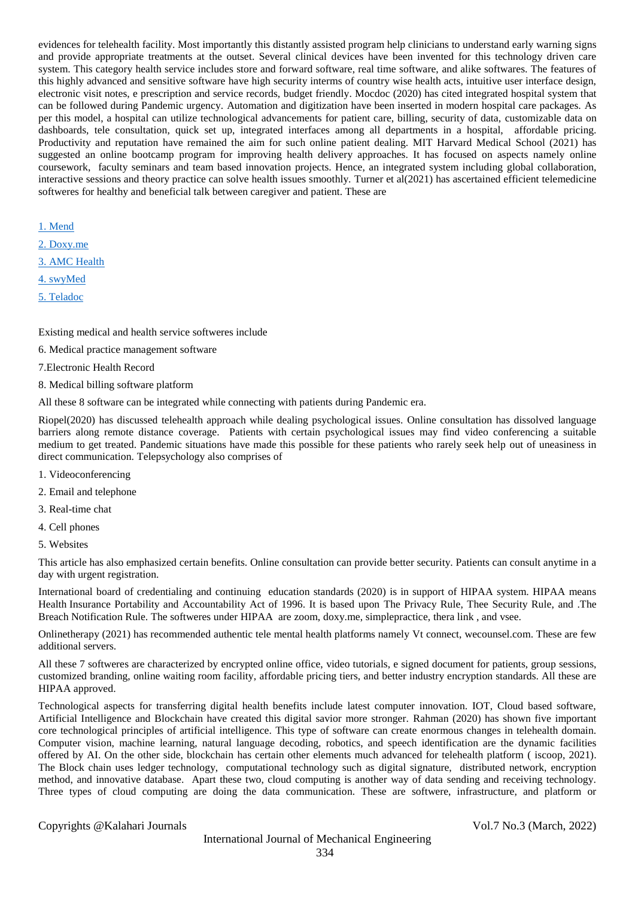evidences for telehealth facility. Most importantly this distantly assisted program help clinicians to understand early warning signs and provide appropriate treatments at the outset. Several clinical devices have been invented for this technology driven care system. This category health service includes store and forward software, real time software, and alike softwares. The features of this highly advanced and sensitive software have high security interms of country wise health acts, intuitive user interface design, electronic visit notes, e prescription and service records, budget friendly. Mocdoc (2020) has cited integrated hospital system that can be followed during Pandemic urgency. Automation and digitization have been inserted in modern hospital care packages. As per this model, a hospital can utilize technological advancements for patient care, billing, security of data, customizable data on dashboards, tele consultation, quick set up, integrated interfaces among all departments in a hospital, affordable pricing. Productivity and reputation have remained the aim for such online patient dealing. MIT Harvard Medical School (2021) has suggested an online bootcamp program for improving health delivery approaches. It has focused on aspects namely online coursework, faculty seminars and team based innovation projects. Hence, an integrated system including global collaboration, interactive sessions and theory practice can solve health issues smoothly. Turner et al(2021) has ascertained efficient telemedicine softweres for healthy and beneficial talk between caregiver and patient. These are

[1. Mend](https://www.mend.com/)

- [2. Doxy.me](https://doxy.me/pricing)
- [3. AMC Health](http://www.amchealth.com/)
- [4. swyMed](http://swymed.com/)
- [5. Teladoc](https://www.teladoc.com/)

Existing medical and health service softweres include

- 6. Medical practice management software
- 7.Electronic Health Record
- 8. Medical billing software platform

All these 8 software can be integrated while connecting with patients during Pandemic era.

Riopel(2020) has discussed telehealth approach while dealing psychological issues. Online consultation has dissolved language barriers along remote distance coverage. Patients with certain psychological issues may find video conferencing a suitable medium to get treated. Pandemic situations have made this possible for these patients who rarely seek help out of uneasiness in direct communication. Telepsychology also comprises of

- 1. Videoconferencing
- 2. Email and telephone
- 3. Real-time chat
- 4. Cell phones
- 5. Websites

This article has also emphasized certain benefits. Online consultation can provide better security. Patients can consult anytime in a day with urgent registration.

International board of credentialing and continuing education standards (2020) is in support of HIPAA system. HIPAA means Health Insurance Portability and Accountability Act of 1996. It is based upon The Privacy Rule, Thee Security Rule, and .The Breach Notification Rule. The softweres under HIPAA are zoom, doxy.me, simplepractice, thera link , and vsee.

Onlinetherapy (2021) has recommended authentic tele mental health platforms namely Vt connect, wecounsel.com. These are few additional servers.

All these 7 softweres are characterized by encrypted online office, video tutorials, e signed document for patients, group sessions, customized branding, online waiting room facility, affordable pricing tiers, and better industry encryption standards. All these are HIPAA approved.

Technological aspects for transferring digital health benefits include latest computer innovation. IOT, Cloud based software, Artificial Intelligence and Blockchain have created this digital savior more stronger. Rahman (2020) has shown five important core technological principles of artificial intelligence. This type of software can create enormous changes in telehealth domain. Computer vision, machine learning, natural language decoding, robotics, and speech identification are the dynamic facilities offered by AI. On the other side, blockchain has certain other elements much advanced for telehealth platform ( iscoop, 2021). The Block chain uses ledger technology, computational technology such as digital signature, distributed network, encryption method, and innovative database. Apart these two, cloud computing is another way of data sending and receiving technology. Three types of cloud computing are doing the data communication. These are softwere, infrastructure, and platform or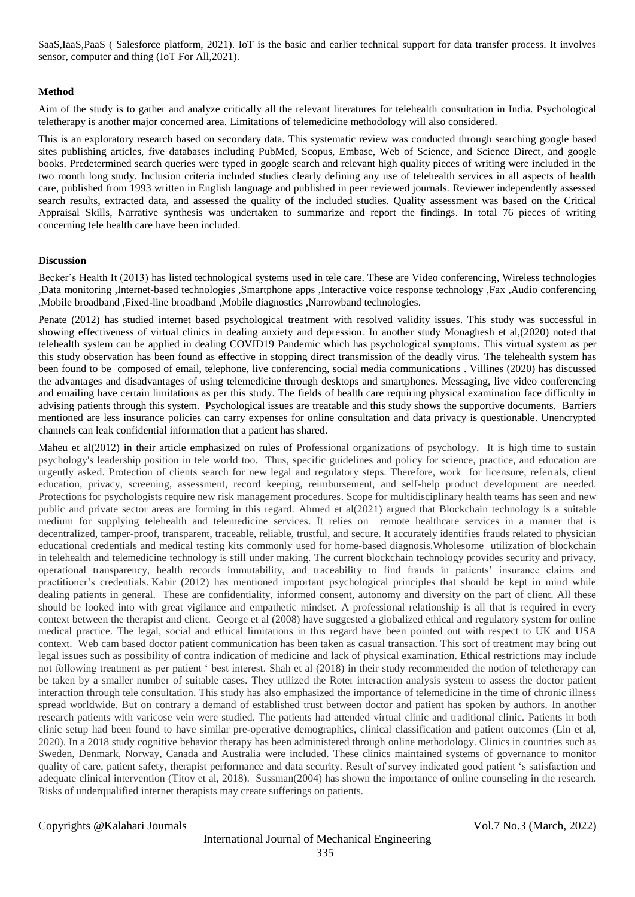SaaS,IaaS,PaaS ( Salesforce platform, 2021). IoT is the basic and earlier technical support for data transfer process. It involves sensor, computer and thing (IoT For All,2021).

### **Method**

Aim of the study is to gather and analyze critically all the relevant literatures for telehealth consultation in India. Psychological teletherapy is another major concerned area. Limitations of telemedicine methodology will also considered.

This is an exploratory research based on secondary data. This systematic review was conducted through searching google based sites publishing articles, five databases including PubMed, Scopus, Embase, Web of Science, and Science Direct, and google books. Predetermined search queries were typed in google search and relevant high quality pieces of writing were included in the two month long study. Inclusion criteria included studies clearly defining any use of telehealth services in all aspects of health care, published from 1993 written in English language and published in peer reviewed journals. Reviewer independently assessed search results, extracted data, and assessed the quality of the included studies. Quality assessment was based on the Critical Appraisal Skills, Narrative synthesis was undertaken to summarize and report the findings. In total 76 pieces of writing concerning tele health care have been included.

### **Discussion**

Becker's Health It (2013) has listed technological systems used in tele care. These are Video conferencing, Wireless technologies ,Data monitoring ,Internet-based technologies ,Smartphone apps ,Interactive voice response technology ,Fax ,Audio conferencing ,Mobile broadband ,Fixed-line broadband ,Mobile diagnostics ,Narrowband technologies.

Penate (2012) has studied internet based psychological treatment with resolved validity issues. This study was successful in showing effectiveness of virtual clinics in dealing anxiety and depression. In another study Monaghesh et al,(2020) noted that telehealth system can be applied in dealing COVID19 Pandemic which has psychological symptoms. This virtual system as per this study observation has been found as effective in stopping direct transmission of the deadly virus. The telehealth system has been found to be composed of email, telephone, live conferencing, social media communications . Villines (2020) has discussed the advantages and disadvantages of using telemedicine through desktops and smartphones. Messaging, live video conferencing and emailing have certain limitations as per this study. The fields of health care requiring physical examination face difficulty in advising patients through this system. Psychological issues are treatable and this study shows the supportive documents. Barriers mentioned are less insurance policies can carry expenses for online consultation and data privacy is questionable. Unencrypted channels can leak confidential information that a patient has shared.

Maheu et al(2012) in their article emphasized on rules of Professional organizations of psychology. It is high time to sustain psychology's leadership position in tele world too. Thus, specific guidelines and policy for science, practice, and education are urgently asked. Protection of clients search for new legal and regulatory steps. Therefore, work for licensure, referrals, client education, privacy, screening, assessment, record keeping, reimbursement, and self-help product development are needed. Protections for psychologists require new risk management procedures. Scope for multidisciplinary health teams has seen and new public and private sector areas are forming in this regard. Ahmed et al(2021) argued that Blockchain technology is a suitable medium for supplying telehealth and telemedicine services. It relies on remote healthcare services in a manner that is decentralized, tamper-proof, transparent, traceable, reliable, trustful, and secure. It accurately identifies frauds related to physician educational credentials and medical testing kits commonly used for home-based diagnosis.Wholesome utilization of blockchain in telehealth and telemedicine technology is still under making. The current blockchain technology provides security and privacy, operational transparency, health records immutability, and traceability to find frauds in patients' insurance claims and practitioner's credentials. Kabir (2012) has mentioned important psychological principles that should be kept in mind while dealing patients in general. These are confidentiality, informed consent, autonomy and diversity on the part of client. All these should be looked into with great vigilance and empathetic mindset. A professional relationship is all that is required in every context between the therapist and client. George et al (2008) have suggested a globalized ethical and regulatory system for online medical practice. The legal, social and ethical limitations in this regard have been pointed out with respect to UK and USA context. Web cam based doctor patient communication has been taken as casual transaction. This sort of treatment may bring out legal issues such as possibility of contra indication of medicine and lack of physical examination. Ethical restrictions may include not following treatment as per patient ' best interest. Shah et al (2018) in their study recommended the notion of teletherapy can be taken by a smaller number of suitable cases. They utilized the Roter interaction analysis system to assess the doctor patient interaction through tele consultation. This study has also emphasized the importance of telemedicine in the time of chronic illness spread worldwide. But on contrary a demand of established trust between doctor and patient has spoken by authors. In another research patients with varicose vein were studied. The patients had attended virtual clinic and traditional clinic. Patients in both clinic setup had been found to have similar pre-operative demographics, clinical classification and patient outcomes (Lin et al, 2020). In a 2018 study cognitive behavior therapy has been administered through online methodology. Clinics in countries such as Sweden, Denmark, Norway, Canada and Australia were included. These clinics maintained systems of governance to monitor quality of care, patient safety, therapist performance and data security. Result of survey indicated good patient 's satisfaction and adequate clinical intervention (Titov et al, 2018). Sussman(2004) has shown the importance of online counseling in the research. Risks of underqualified internet therapists may create sufferings on patients.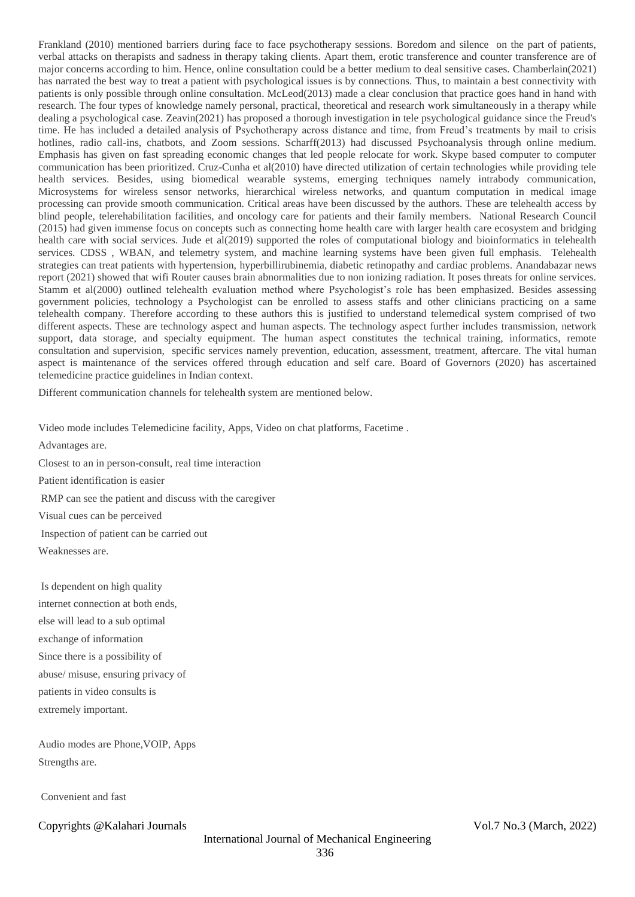Frankland (2010) mentioned barriers during face to face psychotherapy sessions. Boredom and silence on the part of patients, verbal attacks on therapists and sadness in therapy taking clients. Apart them, erotic transference and counter transference are of major concerns according to him. Hence, online consultation could be a better medium to deal sensitive cases. Chamberlain(2021) has narrated the best way to treat a patient with psychological issues is by connections. Thus, to maintain a best connectivity with patients is only possible through online consultation. McLeod(2013) made a clear conclusion that practice goes hand in hand with research. The four types of knowledge namely personal, practical, theoretical and research work simultaneously in a therapy while dealing a psychological case. Zeavin(2021) has proposed a thorough investigation in tele psychological guidance since the Freud's time. He has included a detailed analysis of Psychotherapy across distance and time, from Freud's treatments by mail to crisis hotlines, radio call-ins, chatbots, and Zoom sessions. Scharff(2013) had discussed Psychoanalysis through online medium. Emphasis has given on fast spreading economic changes that led people relocate for work. Skype based computer to computer communication has been prioritized. Cruz-Cunha et al(2010) have directed utilization of certain technologies while providing tele health services. Besides, using biomedical wearable systems, emerging techniques namely intrabody communication, Microsystems for wireless sensor networks, hierarchical wireless networks, and quantum computation in medical image processing can provide smooth communication. Critical areas have been discussed by the authors. These are telehealth access by blind people, telerehabilitation facilities, and oncology care for patients and their family members. National Research Council (2015) had given immense focus on concepts such as connecting home health care with larger health care ecosystem and bridging health care with social services. Jude et al(2019) supported the roles of computational biology and bioinformatics in telehealth services. CDSS, WBAN, and telemetry system, and machine learning systems have been given full emphasis. Telehealth strategies can treat patients with hypertension, hyperbillirubinemia, diabetic retinopathy and cardiac problems. Anandabazar news report (2021) showed that wifi Router causes brain abnormalities due to non ionizing radiation. It poses threats for online services. Stamm et al(2000) outlined telehealth evaluation method where Psychologist's role has been emphasized. Besides assessing government policies, technology a Psychologist can be enrolled to assess staffs and other clinicians practicing on a same telehealth company. Therefore according to these authors this is justified to understand telemedical system comprised of two different aspects. These are technology aspect and human aspects. The technology aspect further includes transmission, network support, data storage, and specialty equipment. The human aspect constitutes the technical training, informatics, remote consultation and supervision, specific services namely prevention, education, assessment, treatment, aftercare. The vital human aspect is maintenance of the services offered through education and self care. Board of Governors (2020) has ascertained telemedicine practice guidelines in Indian context.

Different communication channels for telehealth system are mentioned below.

Video mode includes Telemedicine facility, Apps, Video on chat platforms, Facetime .

Advantages are.

Closest to an in person-consult, real time interaction Patient identification is easier RMP can see the patient and discuss with the caregiver Visual cues can be perceived

Inspection of patient can be carried out

Weaknesses are.

Is dependent on high quality internet connection at both ends, else will lead to a sub optimal exchange of information Since there is a possibility of abuse/ misuse, ensuring privacy of patients in video consults is extremely important.

Audio modes are Phone,VOIP, Apps Strengths are.

Convenient and fast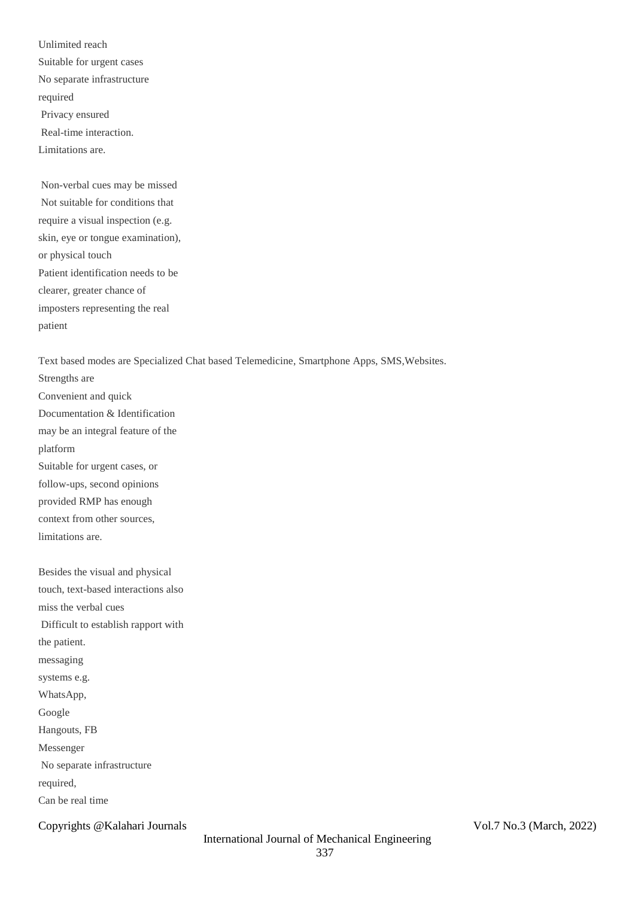Unlimited reach Suitable for urgent cases No separate infrastructure required Privacy ensured Real-time interaction. Limitations are.

Non-verbal cues may be missed Not suitable for conditions that require a visual inspection (e.g. skin, eye or tongue examination), or physical touch Patient identification needs to be clearer, greater chance of imposters representing the real patient

Text based modes are Specialized Chat based Telemedicine, Smartphone Apps, SMS,Websites.

Strengths are Convenient and quick Documentation & Identification may be an integral feature of the platform Suitable for urgent cases, or follow-ups, second opinions provided RMP has enough context from other sources, limitations are.

Besides the visual and physical touch, text-based interactions also miss the verbal cues Difficult to establish rapport with the patient. messaging systems e.g. WhatsApp, Google Hangouts, FB Messenger No separate infrastructure required, Can be real time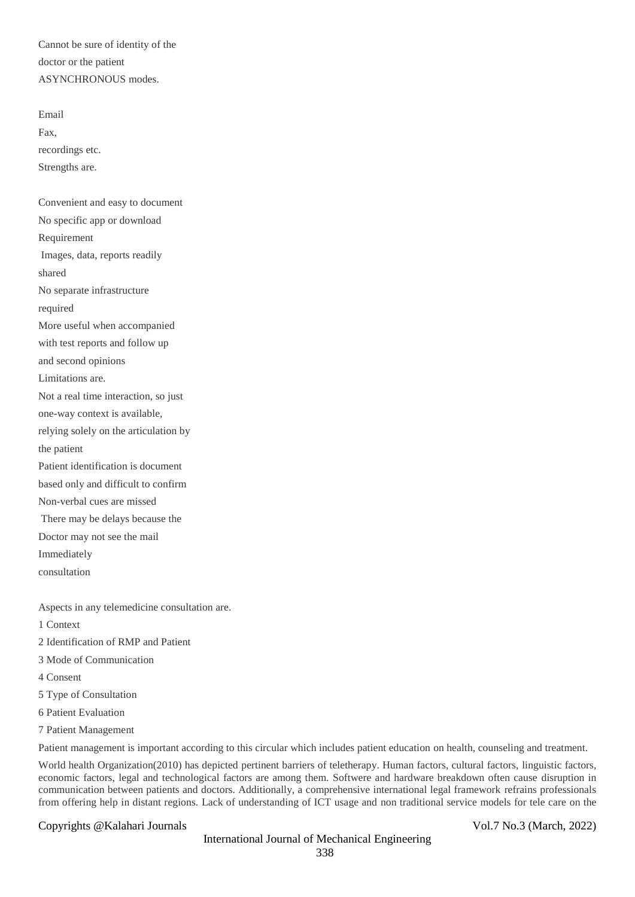Cannot be sure of identity of the doctor or the patient ASYNCHRONOUS modes.

Email Fax, recordings etc. Strengths are.

Convenient and easy to document No specific app or download Requirement Images, data, reports readily shared No separate infrastructure required More useful when accompanied with test reports and follow up and second opinions Limitations are. Not a real time interaction, so just one-way context is available, relying solely on the articulation by the patient Patient identification is document based only and difficult to confirm Non-verbal cues are missed There may be delays because the Doctor may not see the mail Immediately consultation

Aspects in any telemedicine consultation are.

1 Context

2 Identification of RMP and Patient

3 Mode of Communication

4 Consent

5 Type of Consultation

6 Patient Evaluation

7 Patient Management

Patient management is important according to this circular which includes patient education on health, counseling and treatment.

World health Organization(2010) has depicted pertinent barriers of teletherapy. Human factors, cultural factors, linguistic factors, economic factors, legal and technological factors are among them. Softwere and hardware breakdown often cause disruption in communication between patients and doctors. Additionally, a comprehensive international legal framework refrains professionals from offering help in distant regions. Lack of understanding of ICT usage and non traditional service models for tele care on the

Copyrights @Kalahari Journals Vol.7 No.3 (March, 2022)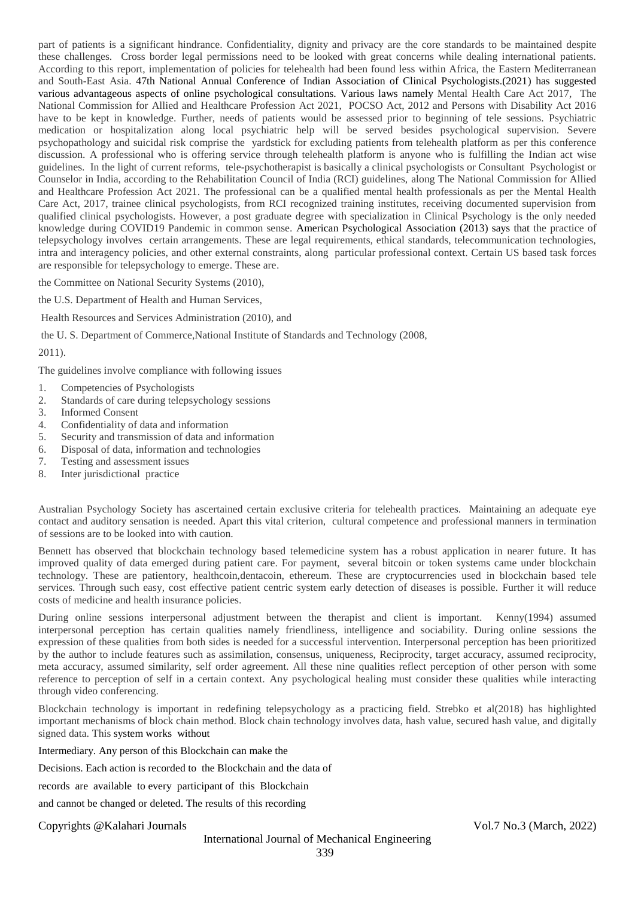part of patients is a significant hindrance. Confidentiality, dignity and privacy are the core standards to be maintained despite these challenges. Cross border legal permissions need to be looked with great concerns while dealing international patients. According to this report, implementation of policies for telehealth had been found less within Africa, the Eastern Mediterranean and South-East Asia. 47th National Annual Conference of Indian Association of Clinical Psychologists.(2021) has suggested various advantageous aspects of online psychological consultations. Various laws namely Mental Health Care Act 2017, The National Commission for Allied and Healthcare Profession Act 2021, POCSO Act, 2012 and Persons with Disability Act 2016 have to be kept in knowledge. Further, needs of patients would be assessed prior to beginning of tele sessions. Psychiatric medication or hospitalization along local psychiatric help will be served besides psychological supervision. Severe psychopathology and suicidal risk comprise the yardstick for excluding patients from telehealth platform as per this conference discussion. A professional who is offering service through telehealth platform is anyone who is fulfilling the Indian act wise guidelines. In the light of current reforms, tele-psychotherapist is basically a clinical psychologists or Consultant Psychologist or Counselor in India, according to the Rehabilitation Council of India (RCI) guidelines, along The National Commission for Allied and Healthcare Profession Act 2021. The professional can be a qualified mental health professionals as per the Mental Health Care Act, 2017, trainee clinical psychologists, from RCI recognized training institutes, receiving documented supervision from qualified clinical psychologists. However, a post graduate degree with specialization in Clinical Psychology is the only needed knowledge during COVID19 Pandemic in common sense. American Psychological Association (2013) says that the practice of telepsychology involves certain arrangements. These are legal requirements, ethical standards, telecommunication technologies, intra and interagency policies, and other external constraints, along particular professional context. Certain US based task forces are responsible for telepsychology to emerge. These are.

the Committee on National Security Systems (2010),

the U.S. Department of Health and Human Services,

Health Resources and Services Administration (2010), and

the U. S. Department of Commerce,National Institute of Standards and Technology (2008,

2011).

The guidelines involve compliance with following issues

- 1. Competencies of Psychologists
- 2. Standards of care during telepsychology sessions
- 3. Informed Consent
- 4. Confidentiality of data and information
- 5. Security and transmission of data and information
- 6. Disposal of data, information and technologies
- 7. Testing and assessment issues
- 8. Inter jurisdictional practice

Australian Psychology Society has ascertained certain exclusive criteria for telehealth practices. Maintaining an adequate eye contact and auditory sensation is needed. Apart this vital criterion, cultural competence and professional manners in termination of sessions are to be looked into with caution.

Bennett has observed that blockchain technology based telemedicine system has a robust application in nearer future. It has improved quality of data emerged during patient care. For payment, several bitcoin or token systems came under blockchain technology. These are patientory, healthcoin,dentacoin, ethereum. These are cryptocurrencies used in blockchain based tele services. Through such easy, cost effective patient centric system early detection of diseases is possible. Further it will reduce costs of medicine and health insurance policies.

During online sessions interpersonal adjustment between the therapist and client is important. Kenny(1994) assumed interpersonal perception has certain qualities namely friendliness, intelligence and sociability. During online sessions the expression of these qualities from both sides is needed for a successful intervention. Interpersonal perception has been prioritized by the author to include features such as assimilation, consensus, uniqueness, Reciprocity, target accuracy, assumed reciprocity, meta accuracy, assumed similarity, self order agreement. All these nine qualities reflect perception of other person with some reference to perception of self in a certain context. Any psychological healing must consider these qualities while interacting through video conferencing.

Blockchain technology is important in redefining telepsychology as a practicing field. Strebko et al(2018) has highlighted important mechanisms of block chain method. Block chain technology involves data, hash value, secured hash value, and digitally signed data. This system works without

Intermediary. Any person of this Blockchain can make the

Decisions. Each action is recorded to the Blockchain and the data of

records are available to every participant of this Blockchain

and cannot be changed or deleted. The results of this recording

Copyrights @Kalahari Journals Vol.7 No.3 (March, 2022)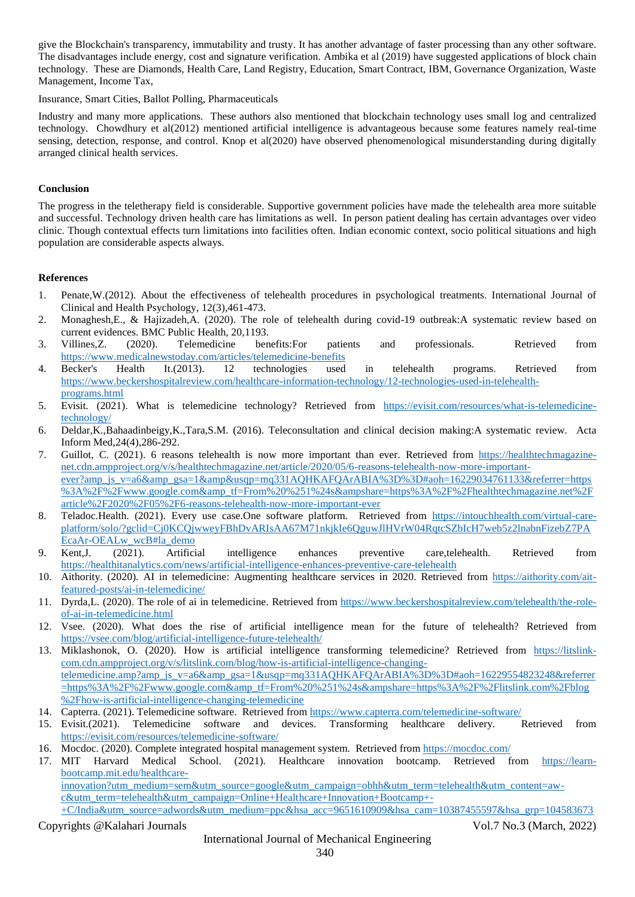give the Blockchain's transparency, immutability and trusty. It has another advantage of faster processing than any other software. The disadvantages include energy, cost and signature verification. Ambika et al (2019) have suggested applications of block chain technology. These are Diamonds, Health Care, Land Registry, Education, Smart Contract, IBM, Governance Organization, Waste Management, Income Tax,

Insurance, Smart Cities, Ballot Polling, Pharmaceuticals

Industry and many more applications. These authors also mentioned that blockchain technology uses small log and centralized technology. Chowdhury et al(2012) mentioned artificial intelligence is advantageous because some features namely real-time sensing, detection, response, and control. Knop et al(2020) have observed phenomenological misunderstanding during digitally arranged clinical health services.

#### **Conclusion**

The progress in the teletherapy field is considerable. Supportive government policies have made the telehealth area more suitable and successful. Technology driven health care has limitations as well. In person patient dealing has certain advantages over video clinic. Though contextual effects turn limitations into facilities often. Indian economic context, socio political situations and high population are considerable aspects always.

### **References**

- 1. Penate,W.(2012). About the effectiveness of telehealth procedures in psychological treatments. International Journal of Clinical and Health Psychology, 12(3),461-473.
- 2. Monaghesh,E., & Hajizadeh,A. (2020). The role of telehealth during covid-19 outbreak:A systematic review based on current evidences. BMC Public Health, 20,1193.
- 3. Villines,Z. (2020). Telemedicine benefits:For patients and professionals. Retrieved from <https://www.medicalnewstoday.com/articles/telemedicine-benefits>
- 4. Becker's Health It.(2013). 12 technologies used in telehealth programs. Retrieved from [https://www.beckershospitalreview.com/healthcare-information-technology/12-technologies-used-in-telehealth](https://www.beckershospitalreview.com/healthcare-information-technology/12-technologies-used-in-telehealth-programs.html)[programs.html](https://www.beckershospitalreview.com/healthcare-information-technology/12-technologies-used-in-telehealth-programs.html)
- 5. Evisit. (2021). What is telemedicine technology? Retrieved from [https://evisit.com/resources/what-is-telemedicine](https://evisit.com/resources/what-is-telemedicine-technology/)[technology/](https://evisit.com/resources/what-is-telemedicine-technology/)
- 6. Deldar,K.,Bahaadinbeigy,K.,Tara,S.M. (2016). Teleconsultation and clinical decision making:A systematic review. Acta Inform Med,24(4),286-292.
- 7. Guillot, C. (2021). 6 reasons telehealth is now more important than ever. Retrieved from [https://healthtechmagazine](https://healthtechmagazine-net.cdn.ampproject.org/v/s/healthtechmagazine.net/article/2020/05/6-reasons-telehealth-now-more-important-ever?amp_js_v=a6&_gsa=1&&usqp=mq331AQHKAFQArABIA%3D%3D#aoh=16229034761133&referrer=https%3A%2F%2Fwww.google.com&_tf=From%20%251%24s&share=https%3A%2F%2Fhealthtechmagazine.net%2Farticle%2F2020%2F05%2F6-reasons-telehealth-now-more-important-ever)[net.cdn.ampproject.org/v/s/healthtechmagazine.net/article/2020/05/6-reasons-telehealth-now-more-important](https://healthtechmagazine-net.cdn.ampproject.org/v/s/healthtechmagazine.net/article/2020/05/6-reasons-telehealth-now-more-important-ever?amp_js_v=a6&_gsa=1&&usqp=mq331AQHKAFQArABIA%3D%3D#aoh=16229034761133&referrer=https%3A%2F%2Fwww.google.com&_tf=From%20%251%24s&share=https%3A%2F%2Fhealthtechmagazine.net%2Farticle%2F2020%2F05%2F6-reasons-telehealth-now-more-important-ever)[ever?amp\\_js\\_v=a6&amp\\_gsa=1&amp&usqp=mq331AQHKAFQArABIA%3D%3D#aoh=16229034761133&referrer=https](https://healthtechmagazine-net.cdn.ampproject.org/v/s/healthtechmagazine.net/article/2020/05/6-reasons-telehealth-now-more-important-ever?amp_js_v=a6&_gsa=1&&usqp=mq331AQHKAFQArABIA%3D%3D#aoh=16229034761133&referrer=https%3A%2F%2Fwww.google.com&_tf=From%20%251%24s&share=https%3A%2F%2Fhealthtechmagazine.net%2Farticle%2F2020%2F05%2F6-reasons-telehealth-now-more-important-ever) [%3A%2F%2Fwww.google.com&amp\\_tf=From%20%251%24s&ampshare=https%3A%2F%2Fhealthtechmagazine.net%2F](https://healthtechmagazine-net.cdn.ampproject.org/v/s/healthtechmagazine.net/article/2020/05/6-reasons-telehealth-now-more-important-ever?amp_js_v=a6&_gsa=1&&usqp=mq331AQHKAFQArABIA%3D%3D#aoh=16229034761133&referrer=https%3A%2F%2Fwww.google.com&_tf=From%20%251%24s&share=https%3A%2F%2Fhealthtechmagazine.net%2Farticle%2F2020%2F05%2F6-reasons-telehealth-now-more-important-ever) [article%2F2020%2F05%2F6-reasons-telehealth-now-more-important-ever](https://healthtechmagazine-net.cdn.ampproject.org/v/s/healthtechmagazine.net/article/2020/05/6-reasons-telehealth-now-more-important-ever?amp_js_v=a6&_gsa=1&&usqp=mq331AQHKAFQArABIA%3D%3D#aoh=16229034761133&referrer=https%3A%2F%2Fwww.google.com&_tf=From%20%251%24s&share=https%3A%2F%2Fhealthtechmagazine.net%2Farticle%2F2020%2F05%2F6-reasons-telehealth-now-more-important-ever)
- 8. Teladoc.Health. (2021). Every use case.One software platform. Retrieved from [https://intouchhealth.com/virtual-care](https://intouchhealth.com/virtual-care-platform/solo/?gclid=Cj0KCQjwweyFBhDvARIsAA67M71nkjkIe6QguwJlHVrW04RqtcSZbIcH7web5z2lnabnFizebZ7PAEcaAr-OEALw_wcB#la_demo)[platform/solo/?gclid=Cj0KCQjwweyFBhDvARIsAA67M71nkjkIe6QguwJlHVrW04RqtcSZbIcH7web5z2lnabnFizebZ7PA](https://intouchhealth.com/virtual-care-platform/solo/?gclid=Cj0KCQjwweyFBhDvARIsAA67M71nkjkIe6QguwJlHVrW04RqtcSZbIcH7web5z2lnabnFizebZ7PAEcaAr-OEALw_wcB#la_demo) [EcaAr-OEALw\\_wcB#la\\_demo](https://intouchhealth.com/virtual-care-platform/solo/?gclid=Cj0KCQjwweyFBhDvARIsAA67M71nkjkIe6QguwJlHVrW04RqtcSZbIcH7web5z2lnabnFizebZ7PAEcaAr-OEALw_wcB#la_demo)
- 9. Kent,J. (2021). Artificial intelligence enhances preventive care,telehealth. Retrieved from <https://healthitanalytics.com/news/artificial-intelligence-enhances-preventive-care-telehealth>
- 10. Aithority. (2020). AI in telemedicine: Augmenting healthcare services in 2020. Retrieved from [https://aithority.com/ait](https://aithority.com/ait-featured-posts/ai-in-telemedicine/)[featured-posts/ai-in-telemedicine/](https://aithority.com/ait-featured-posts/ai-in-telemedicine/)
- 11. Dyrda,L. (2020). The role of ai in telemedicine. Retrieved from [https://www.beckershospitalreview.com/telehealth/the-role](https://www.beckershospitalreview.com/telehealth/the-role-of-ai-in-telemedicine.html)[of-ai-in-telemedicine.html](https://www.beckershospitalreview.com/telehealth/the-role-of-ai-in-telemedicine.html)
- 12. Vsee. (2020). What does the rise of artificial intelligence mean for the future of telehealth? Retrieved from <https://vsee.com/blog/artificial-intelligence-future-telehealth/>
- 13. Miklashonok, O. (2020). How is artificial intelligence transforming telemedicine? Retrieved from [https://litslink](https://litslink-com.cdn.ampproject.org/v/s/litslink.com/blog/how-is-artificial-intelligence-changing-telemedicine.amp?amp_js_v=a6&_gsa=1&usqp=mq331AQHKAFQArABIA%3D%3D#aoh=16229554823248&referrer=https%3A%2F%2Fwww.google.com&_tf=From%20%251%24s&share=https%3A%2F%2Flitslink.com%2Fblog%2Fhow-is-artificial-intelligence-changing-telemedicine)[com.cdn.ampproject.org/v/s/litslink.com/blog/how-is-artificial-intelligence-changing](https://litslink-com.cdn.ampproject.org/v/s/litslink.com/blog/how-is-artificial-intelligence-changing-telemedicine.amp?amp_js_v=a6&_gsa=1&usqp=mq331AQHKAFQArABIA%3D%3D#aoh=16229554823248&referrer=https%3A%2F%2Fwww.google.com&_tf=From%20%251%24s&share=https%3A%2F%2Flitslink.com%2Fblog%2Fhow-is-artificial-intelligence-changing-telemedicine)[telemedicine.amp?amp\\_js\\_v=a6&amp\\_gsa=1&usqp=mq331AQHKAFQArABIA%3D%3D#aoh=16229554823248&referrer](https://litslink-com.cdn.ampproject.org/v/s/litslink.com/blog/how-is-artificial-intelligence-changing-telemedicine.amp?amp_js_v=a6&_gsa=1&usqp=mq331AQHKAFQArABIA%3D%3D#aoh=16229554823248&referrer=https%3A%2F%2Fwww.google.com&_tf=From%20%251%24s&share=https%3A%2F%2Flitslink.com%2Fblog%2Fhow-is-artificial-intelligence-changing-telemedicine) [=https%3A%2F%2Fwww.google.com&amp\\_tf=From%20%251%24s&ampshare=https%3A%2F%2Flitslink.com%2Fblog](https://litslink-com.cdn.ampproject.org/v/s/litslink.com/blog/how-is-artificial-intelligence-changing-telemedicine.amp?amp_js_v=a6&_gsa=1&usqp=mq331AQHKAFQArABIA%3D%3D#aoh=16229554823248&referrer=https%3A%2F%2Fwww.google.com&_tf=From%20%251%24s&share=https%3A%2F%2Flitslink.com%2Fblog%2Fhow-is-artificial-intelligence-changing-telemedicine) [%2Fhow-is-artificial-intelligence-changing-telemedicine](https://litslink-com.cdn.ampproject.org/v/s/litslink.com/blog/how-is-artificial-intelligence-changing-telemedicine.amp?amp_js_v=a6&_gsa=1&usqp=mq331AQHKAFQArABIA%3D%3D#aoh=16229554823248&referrer=https%3A%2F%2Fwww.google.com&_tf=From%20%251%24s&share=https%3A%2F%2Flitslink.com%2Fblog%2Fhow-is-artificial-intelligence-changing-telemedicine)
- 14. Capterra. (2021). Telemedicine software. Retrieved fro[m https://www.capterra.com/telemedicine-software/](https://www.capterra.com/telemedicine-software/)
- 15. Evisit.(2021). Telemedicine software and devices. Transforming healthcare delivery. Retrieved from <https://evisit.com/resources/telemedicine-software/>
- 16. Mocdoc. (2020). Complete integrated hospital management system. Retrieved from<https://mocdoc.com/>
- 17. MIT Harvard Medical School. (2021). Healthcare innovation bootcamp. Retrieved from [https://learn](https://learn-bootcamp.mit.edu/healthcare-innovation?utm_medium=sem&utm_source=google&utm_campaign=obhh&utm_term=telehealth&utm_content=aw-c&utm_term=telehealth&utm_campaign=Online+Healthcare+Innovation+Bootcamp+-+C/India&utm_source=adwords&utm_medium=ppc&hsa_acc=9651610909&hsa_cam=10387455597&hsa_grp=104583673433&hsa_ad=521460367900&hsa_src=g&hsa_tgt=kwd-13152760&hsa_kw=telehealth&hsa_mt=b&hsa_net=adwords&hsa_ver=3&gclid=Cj0KCQjwweyFBhDvARIsAA67M73pYS7QvuEbMDIEnMIXgjkc5MlcL6xuiqWEG66pDPevUnk5TvYmTa0aAuI2EALw_wcB)[bootcamp.mit.edu/healthcare-](https://learn-bootcamp.mit.edu/healthcare-innovation?utm_medium=sem&utm_source=google&utm_campaign=obhh&utm_term=telehealth&utm_content=aw-c&utm_term=telehealth&utm_campaign=Online+Healthcare+Innovation+Bootcamp+-+C/India&utm_source=adwords&utm_medium=ppc&hsa_acc=9651610909&hsa_cam=10387455597&hsa_grp=104583673433&hsa_ad=521460367900&hsa_src=g&hsa_tgt=kwd-13152760&hsa_kw=telehealth&hsa_mt=b&hsa_net=adwords&hsa_ver=3&gclid=Cj0KCQjwweyFBhDvARIsAA67M73pYS7QvuEbMDIEnMIXgjkc5MlcL6xuiqWEG66pDPevUnk5TvYmTa0aAuI2EALw_wcB)

[innovation?utm\\_medium=sem&utm\\_source=google&utm\\_campaign=obhh&utm\\_term=telehealth&utm\\_content=aw](https://learn-bootcamp.mit.edu/healthcare-innovation?utm_medium=sem&utm_source=google&utm_campaign=obhh&utm_term=telehealth&utm_content=aw-c&utm_term=telehealth&utm_campaign=Online+Healthcare+Innovation+Bootcamp+-+C/India&utm_source=adwords&utm_medium=ppc&hsa_acc=9651610909&hsa_cam=10387455597&hsa_grp=104583673433&hsa_ad=521460367900&hsa_src=g&hsa_tgt=kwd-13152760&hsa_kw=telehealth&hsa_mt=b&hsa_net=adwords&hsa_ver=3&gclid=Cj0KCQjwweyFBhDvARIsAA67M73pYS7QvuEbMDIEnMIXgjkc5MlcL6xuiqWEG66pDPevUnk5TvYmTa0aAuI2EALw_wcB)[c&utm\\_term=telehealth&utm\\_campaign=Online+Healthcare+Innovation+Bootcamp+-](https://learn-bootcamp.mit.edu/healthcare-innovation?utm_medium=sem&utm_source=google&utm_campaign=obhh&utm_term=telehealth&utm_content=aw-c&utm_term=telehealth&utm_campaign=Online+Healthcare+Innovation+Bootcamp+-+C/India&utm_source=adwords&utm_medium=ppc&hsa_acc=9651610909&hsa_cam=10387455597&hsa_grp=104583673433&hsa_ad=521460367900&hsa_src=g&hsa_tgt=kwd-13152760&hsa_kw=telehealth&hsa_mt=b&hsa_net=adwords&hsa_ver=3&gclid=Cj0KCQjwweyFBhDvARIsAA67M73pYS7QvuEbMDIEnMIXgjkc5MlcL6xuiqWEG66pDPevUnk5TvYmTa0aAuI2EALw_wcB) [+C/India&utm\\_source=adwords&utm\\_medium=ppc&hsa\\_acc=9651610909&hsa\\_cam=10387455597&hsa\\_grp=104583673](https://learn-bootcamp.mit.edu/healthcare-innovation?utm_medium=sem&utm_source=google&utm_campaign=obhh&utm_term=telehealth&utm_content=aw-c&utm_term=telehealth&utm_campaign=Online+Healthcare+Innovation+Bootcamp+-+C/India&utm_source=adwords&utm_medium=ppc&hsa_acc=9651610909&hsa_cam=10387455597&hsa_grp=104583673433&hsa_ad=521460367900&hsa_src=g&hsa_tgt=kwd-13152760&hsa_kw=telehealth&hsa_mt=b&hsa_net=adwords&hsa_ver=3&gclid=Cj0KCQjwweyFBhDvARIsAA67M73pYS7QvuEbMDIEnMIXgjkc5MlcL6xuiqWEG66pDPevUnk5TvYmTa0aAuI2EALw_wcB)

Copyrights @Kalahari Journals Vol.7 No.3 (March, 2022)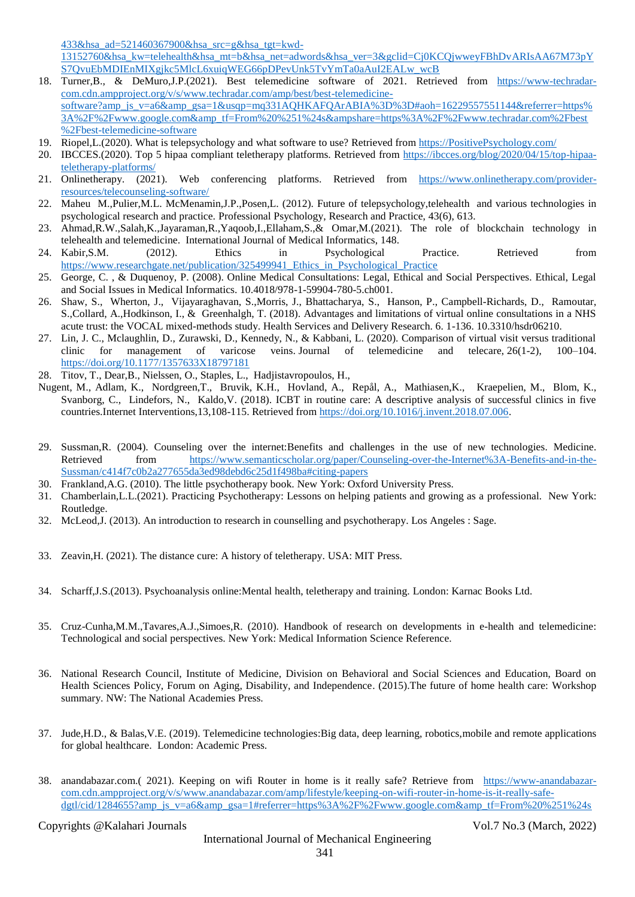[433&hsa\\_ad=521460367900&hsa\\_src=g&hsa\\_tgt=kwd-](https://learn-bootcamp.mit.edu/healthcare-innovation?utm_medium=sem&utm_source=google&utm_campaign=obhh&utm_term=telehealth&utm_content=aw-c&utm_term=telehealth&utm_campaign=Online+Healthcare+Innovation+Bootcamp+-+C/India&utm_source=adwords&utm_medium=ppc&hsa_acc=9651610909&hsa_cam=10387455597&hsa_grp=104583673433&hsa_ad=521460367900&hsa_src=g&hsa_tgt=kwd-13152760&hsa_kw=telehealth&hsa_mt=b&hsa_net=adwords&hsa_ver=3&gclid=Cj0KCQjwweyFBhDvARIsAA67M73pYS7QvuEbMDIEnMIXgjkc5MlcL6xuiqWEG66pDPevUnk5TvYmTa0aAuI2EALw_wcB)

[13152760&hsa\\_kw=telehealth&hsa\\_mt=b&hsa\\_net=adwords&hsa\\_ver=3&gclid=Cj0KCQjwweyFBhDvARIsAA67M73pY](https://learn-bootcamp.mit.edu/healthcare-innovation?utm_medium=sem&utm_source=google&utm_campaign=obhh&utm_term=telehealth&utm_content=aw-c&utm_term=telehealth&utm_campaign=Online+Healthcare+Innovation+Bootcamp+-+C/India&utm_source=adwords&utm_medium=ppc&hsa_acc=9651610909&hsa_cam=10387455597&hsa_grp=104583673433&hsa_ad=521460367900&hsa_src=g&hsa_tgt=kwd-13152760&hsa_kw=telehealth&hsa_mt=b&hsa_net=adwords&hsa_ver=3&gclid=Cj0KCQjwweyFBhDvARIsAA67M73pYS7QvuEbMDIEnMIXgjkc5MlcL6xuiqWEG66pDPevUnk5TvYmTa0aAuI2EALw_wcB) [S7QvuEbMDIEnMIXgjkc5MlcL6xuiqWEG66pDPevUnk5TvYmTa0aAuI2EALw\\_wcB](https://learn-bootcamp.mit.edu/healthcare-innovation?utm_medium=sem&utm_source=google&utm_campaign=obhh&utm_term=telehealth&utm_content=aw-c&utm_term=telehealth&utm_campaign=Online+Healthcare+Innovation+Bootcamp+-+C/India&utm_source=adwords&utm_medium=ppc&hsa_acc=9651610909&hsa_cam=10387455597&hsa_grp=104583673433&hsa_ad=521460367900&hsa_src=g&hsa_tgt=kwd-13152760&hsa_kw=telehealth&hsa_mt=b&hsa_net=adwords&hsa_ver=3&gclid=Cj0KCQjwweyFBhDvARIsAA67M73pYS7QvuEbMDIEnMIXgjkc5MlcL6xuiqWEG66pDPevUnk5TvYmTa0aAuI2EALw_wcB)

- 18. Turner,B., & DeMuro,J.P.(2021). Best telemedicine software of 2021. Retrieved from [https://www-techradar](https://www-techradar-com.cdn.ampproject.org/v/s/www.techradar.com/amp/best/best-telemedicine-software?amp_js_v=a6&_gsa=1&usqp=mq331AQHKAFQArABIA%3D%3D#aoh=16229557551144&referrer=https%3A%2F%2Fwww.google.com&_tf=From%20%251%24s&share=https%3A%2F%2Fwww.techradar.com%2Fbest%2Fbest-telemedicine-software)[com.cdn.ampproject.org/v/s/www.techradar.com/amp/best/best-telemedicine](https://www-techradar-com.cdn.ampproject.org/v/s/www.techradar.com/amp/best/best-telemedicine-software?amp_js_v=a6&_gsa=1&usqp=mq331AQHKAFQArABIA%3D%3D#aoh=16229557551144&referrer=https%3A%2F%2Fwww.google.com&_tf=From%20%251%24s&share=https%3A%2F%2Fwww.techradar.com%2Fbest%2Fbest-telemedicine-software)[software?amp\\_js\\_v=a6&amp\\_gsa=1&usqp=mq331AQHKAFQArABIA%3D%3D#aoh=16229557551144&referrer=https%](https://www-techradar-com.cdn.ampproject.org/v/s/www.techradar.com/amp/best/best-telemedicine-software?amp_js_v=a6&_gsa=1&usqp=mq331AQHKAFQArABIA%3D%3D#aoh=16229557551144&referrer=https%3A%2F%2Fwww.google.com&_tf=From%20%251%24s&share=https%3A%2F%2Fwww.techradar.com%2Fbest%2Fbest-telemedicine-software) [3A%2F%2Fwww.google.com&amp\\_tf=From%20%251%24s&ampshare=https%3A%2F%2Fwww.techradar.com%2Fbest](https://www-techradar-com.cdn.ampproject.org/v/s/www.techradar.com/amp/best/best-telemedicine-software?amp_js_v=a6&_gsa=1&usqp=mq331AQHKAFQArABIA%3D%3D#aoh=16229557551144&referrer=https%3A%2F%2Fwww.google.com&_tf=From%20%251%24s&share=https%3A%2F%2Fwww.techradar.com%2Fbest%2Fbest-telemedicine-software) [%2Fbest-telemedicine-software](https://www-techradar-com.cdn.ampproject.org/v/s/www.techradar.com/amp/best/best-telemedicine-software?amp_js_v=a6&_gsa=1&usqp=mq331AQHKAFQArABIA%3D%3D#aoh=16229557551144&referrer=https%3A%2F%2Fwww.google.com&_tf=From%20%251%24s&share=https%3A%2F%2Fwww.techradar.com%2Fbest%2Fbest-telemedicine-software)
- 19. Riopel,L.(2020). What is telepsychology and what software to use? Retrieved from [https://PositivePsychology.com/](https://positivepsychology.com/)
- 20. IBCCES.(2020). Top 5 hipaa compliant teletherapy platforms. Retrieved from [https://ibcces.org/blog/2020/04/15/top-hipaa](https://ibcces.org/blog/2020/04/15/top-hipaa-teletherapy-platforms/)[teletherapy-platforms/](https://ibcces.org/blog/2020/04/15/top-hipaa-teletherapy-platforms/)
- 21. Onlinetherapy. (2021). Web conferencing platforms. Retrieved from [https://www.onlinetherapy.com/provider](https://www.onlinetherapy.com/provider-resources/telecounseling-software/)[resources/telecounseling-software/](https://www.onlinetherapy.com/provider-resources/telecounseling-software/)
- 22. Maheu M.,Pulier,M.L. McMenamin,J.P.,Posen,L. (2012). Future of telepsychology,telehealth and various technologies in psychological research and practice. Professional Psychology, Research and Practice, 43(6), 613.
- 23. Ahmad,R.W.,Salah,K.,Jayaraman,R.,Yaqoob,I.,Ellaham,S.,& Omar,M.(2021). The role of blockchain technology in telehealth and telemedicine. International Journal of Medical Informatics, 148.
- 24. Kabir,S.M. (2012). Ethics in Psychological Practice. Retrieved from [https://www.researchgate.net/publication/325499941\\_Ethics\\_in\\_Psychological\\_Practice](https://www.researchgate.net/publication/325499941_Ethics_in_Psychological_Practice)
- 25. George, C. , & Duquenoy, P. (2008). Online Medical Consultations: Legal, Ethical and Social Perspectives. Ethical, Legal and Social Issues in Medical Informatics. 10.4018/978-1-59904-780-5.ch001.
- 26. Shaw, S., Wherton, J., Vijayaraghavan, S.,Morris, J., Bhattacharya, S., Hanson, P., Campbell-Richards, D., Ramoutar, S.,Collard, A.,Hodkinson, I., & Greenhalgh, T. (2018). Advantages and limitations of virtual online consultations in a NHS acute trust: the VOCAL mixed-methods study. Health Services and Delivery Research. 6. 1-136. 10.3310/hsdr06210.
- 27. Lin, J. C., Mclaughlin, D., Zurawski, D., Kennedy, N., & Kabbani, L. (2020). Comparison of virtual visit versus traditional clinic for management of varicose veins. Journal of telemedicine and telecare, 26(1-2), 100–104. <https://doi.org/10.1177/1357633X18797181>
- 28. Titov, T., Dear,B., Nielssen, O., Staples, L., Hadjistavropoulos, H.,
- Nugent, M., Adlam, K., Nordgreen,T., Bruvik, K.H., Hovland, A., Repål, A., Mathiasen,K., Kraepelien, M., Blom, K., Svanborg, C., Lindefors, N., Kaldo,V. (2018). ICBT in routine care: A descriptive analysis of successful clinics in five countries.Internet Interventions,13,108-115. Retrieved fro[m https://doi.org/10.1016/j.invent.2018.07.006.](https://doi.org/10.1016/j.invent.2018.07.006)
- 29. Sussman,R. (2004). Counseling over the internet:Benefits and challenges in the use of new technologies. Medicine. Retrieved from [https://www.semanticscholar.org/paper/Counseling-over-the-Internet%3A-Benefits-and-in-the-](https://www.semanticscholar.org/paper/Counseling-over-the-Internet%3A-Benefits-and-in-the-Sussman/c414f7c0b2a277655da3ed98debd6c25d1f498ba#citing-papers)[Sussman/c414f7c0b2a277655da3ed98debd6c25d1f498ba#citing-papers](https://www.semanticscholar.org/paper/Counseling-over-the-Internet%3A-Benefits-and-in-the-Sussman/c414f7c0b2a277655da3ed98debd6c25d1f498ba#citing-papers)
- 30. Frankland,A.G. (2010). The little psychotherapy book. New York: Oxford University Press.
- 31. Chamberlain,L.L.(2021). Practicing Psychotherapy: Lessons on helping patients and growing as a professional. New York: Routledge.
- 32. McLeod,J. (2013). An introduction to research in counselling and psychotherapy. Los Angeles : Sage.
- 33. Zeavin,H. (2021). The distance cure: A history of teletherapy. USA: MIT Press.
- 34. Scharff,J.S.(2013). Psychoanalysis online:Mental health, teletherapy and training. London: Karnac Books Ltd.
- 35. Cruz-Cunha,M.M.,Tavares,A.J.,Simoes,R. (2010). Handbook of research on developments in e-health and telemedicine: Technological and social perspectives. New York: Medical Information Science Reference.
- 36. National Research Council, Institute of Medicine, Division on Behavioral and Social Sciences and Education, Board on Health Sciences Policy, Forum on Aging, Disability, and Independence. (2015).The future of home health care: Workshop summary. NW: The National Academies Press.
- 37. Jude,H.D., & Balas,V.E. (2019). Telemedicine technologies:Big data, deep learning, robotics,mobile and remote applications for global healthcare. London: Academic Press.
- 38. anandabazar.com.( 2021). Keeping on wifi Router in home is it really safe? Retrieve from [https://www-anandabazar](https://www-anandabazar-com.cdn.ampproject.org/v/s/www.anandabazar.com/amp/lifestyle/keeping-on-wifi-router-in-home-is-it-really-safe-dgtl/cid/1284655?amp_js_v=a6&_gsa=1#referrer=https%3A%2F%2Fwww.google.com&_tf=From%20%251%24s&share=https%3A%2F%2Fwww.anandabazar.com%2Flifestyle%2Fkeeping-on-wifi-router-in-home-is-it-really-safe-dgtl%2Fcid%2F1284655)[com.cdn.ampproject.org/v/s/www.anandabazar.com/amp/lifestyle/keeping-on-wifi-router-in-home-is-it-really-safe](https://www-anandabazar-com.cdn.ampproject.org/v/s/www.anandabazar.com/amp/lifestyle/keeping-on-wifi-router-in-home-is-it-really-safe-dgtl/cid/1284655?amp_js_v=a6&_gsa=1#referrer=https%3A%2F%2Fwww.google.com&_tf=From%20%251%24s&share=https%3A%2F%2Fwww.anandabazar.com%2Flifestyle%2Fkeeping-on-wifi-router-in-home-is-it-really-safe-dgtl%2Fcid%2F1284655)[dgtl/cid/1284655?amp\\_js\\_v=a6&amp\\_gsa=1#referrer=https%3A%2F%2Fwww.google.com&amp\\_tf=From%20%251%24s](https://www-anandabazar-com.cdn.ampproject.org/v/s/www.anandabazar.com/amp/lifestyle/keeping-on-wifi-router-in-home-is-it-really-safe-dgtl/cid/1284655?amp_js_v=a6&_gsa=1#referrer=https%3A%2F%2Fwww.google.com&_tf=From%20%251%24s&share=https%3A%2F%2Fwww.anandabazar.com%2Flifestyle%2Fkeeping-on-wifi-router-in-home-is-it-really-safe-dgtl%2Fcid%2F1284655)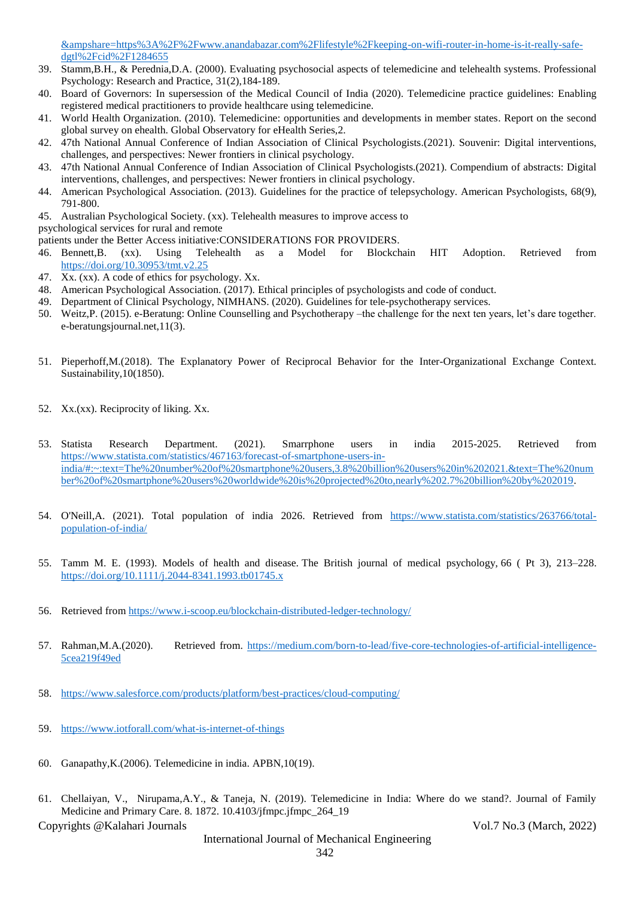[&ampshare=https%3A%2F%2Fwww.anandabazar.com%2Flifestyle%2Fkeeping-on-wifi-router-in-home-is-it-really-safe](https://www-anandabazar-com.cdn.ampproject.org/v/s/www.anandabazar.com/amp/lifestyle/keeping-on-wifi-router-in-home-is-it-really-safe-dgtl/cid/1284655?amp_js_v=a6&_gsa=1#referrer=https%3A%2F%2Fwww.google.com&_tf=From%20%251%24s&share=https%3A%2F%2Fwww.anandabazar.com%2Flifestyle%2Fkeeping-on-wifi-router-in-home-is-it-really-safe-dgtl%2Fcid%2F1284655)[dgtl%2Fcid%2F1284655](https://www-anandabazar-com.cdn.ampproject.org/v/s/www.anandabazar.com/amp/lifestyle/keeping-on-wifi-router-in-home-is-it-really-safe-dgtl/cid/1284655?amp_js_v=a6&_gsa=1#referrer=https%3A%2F%2Fwww.google.com&_tf=From%20%251%24s&share=https%3A%2F%2Fwww.anandabazar.com%2Flifestyle%2Fkeeping-on-wifi-router-in-home-is-it-really-safe-dgtl%2Fcid%2F1284655)

- 39. Stamm,B.H., & Perednia,D.A. (2000). Evaluating psychosocial aspects of telemedicine and telehealth systems. Professional Psychology: Research and Practice, 31(2),184-189.
- 40. Board of Governors: In supersession of the Medical Council of India (2020). Telemedicine practice guidelines: Enabling registered medical practitioners to provide healthcare using telemedicine.
- 41. World Health Organization. (2010). Telemedicine: opportunities and developments in member states. Report on the second global survey on ehealth. Global Observatory for eHealth Series,2.
- 42. 47th National Annual Conference of Indian Association of Clinical Psychologists.(2021). Souvenir: Digital interventions, challenges, and perspectives: Newer frontiers in clinical psychology.
- 43. 47th National Annual Conference of Indian Association of Clinical Psychologists.(2021). Compendium of abstracts: Digital interventions, challenges, and perspectives: Newer frontiers in clinical psychology.
- 44. American Psychological Association. (2013). Guidelines for the practice of telepsychology. American Psychologists, 68(9), 791-800.
- 45. Australian Psychological Society. (xx). Telehealth measures to improve access to
- psychological services for rural and remote

patients under the Better Access initiative:CONSIDERATIONS FOR PROVIDERS.

- 46. Bennett,B. (xx). Using Telehealth as a Model for Blockchain HIT Adoption. Retrieved from <https://doi.org/10.30953/tmt.v2.25>
- 47. Xx. (xx). A code of ethics for psychology. Xx.
- 48. American Psychological Association. (2017). Ethical principles of psychologists and code of conduct.
- 49. Department of Clinical Psychology, NIMHANS. (2020). Guidelines for tele-psychotherapy services.
- 50. Weitz,P. (2015). e-Beratung: Online Counselling and Psychotherapy –the challenge for the next ten years, let's dare together. e-beratungsjournal.net,11(3).
- 51. Pieperhoff,M.(2018). The Explanatory Power of Reciprocal Behavior for the Inter-Organizational Exchange Context. Sustainability,10(1850).
- 52. Xx.(xx). Reciprocity of liking. Xx.
- 53. Statista Research Department. (2021). Smarrphone users in india 2015-2025. Retrieved from [https://www.statista.com/statistics/467163/forecast-of-smartphone-users-in](https://www.statista.com/statistics/467163/forecast-of-smartphone-users-in-india/#:~:text=The%20number%20of%20smartphone%20users,3.8%20billion%20users%20in%202021.&text=The%20number%20of%20smartphone%20users%20worldwide%20is%20projected%20to,nearly%202.7%20billion%20by%202019)[india/#:~:text=The%20number%20of%20smartphone%20users,3.8%20billion%20users%20in%202021.&text=The%20num](https://www.statista.com/statistics/467163/forecast-of-smartphone-users-in-india/#:~:text=The%20number%20of%20smartphone%20users,3.8%20billion%20users%20in%202021.&text=The%20number%20of%20smartphone%20users%20worldwide%20is%20projected%20to,nearly%202.7%20billion%20by%202019) [ber%20of%20smartphone%20users%20worldwide%20is%20projected%20to,nearly%202.7%20billion%20by%202019.](https://www.statista.com/statistics/467163/forecast-of-smartphone-users-in-india/#:~:text=The%20number%20of%20smartphone%20users,3.8%20billion%20users%20in%202021.&text=The%20number%20of%20smartphone%20users%20worldwide%20is%20projected%20to,nearly%202.7%20billion%20by%202019)
- 54. O'Neill,A. (2021). Total population of india 2026. Retrieved from [https://www.statista.com/statistics/263766/total](https://www.statista.com/statistics/263766/total-population-of-india/)[population-of-india/](https://www.statista.com/statistics/263766/total-population-of-india/)
- 55. Tamm M. E. (1993). Models of health and disease. The British journal of medical psychology, 66 ( Pt 3), 213–228. <https://doi.org/10.1111/j.2044-8341.1993.tb01745.x>
- 56. Retrieved fro[m https://www.i-scoop.eu/blockchain-distributed-ledger-technology/](https://www.i-scoop.eu/blockchain-distributed-ledger-technology/)
- 57. Rahman,M.A.(2020). Retrieved from. [https://medium.com/born-to-lead/five-core-technologies-of-artificial-intelligence-](https://medium.com/born-to-lead/five-core-technologies-of-artificial-intelligence-5cea219f49ed)[5cea219f49ed](https://medium.com/born-to-lead/five-core-technologies-of-artificial-intelligence-5cea219f49ed)
- 58. <https://www.salesforce.com/products/platform/best-practices/cloud-computing/>
- 59. <https://www.iotforall.com/what-is-internet-of-things>
- 60. Ganapathy,K.(2006). Telemedicine in india. APBN,10(19).
- 61. Chellaiyan, V., Nirupama,A.Y., & Taneja, N. (2019). Telemedicine in India: Where do we stand?. Journal of Family Medicine and Primary Care. 8. 1872. 10.4103/jfmpc.jfmpc\_264\_19